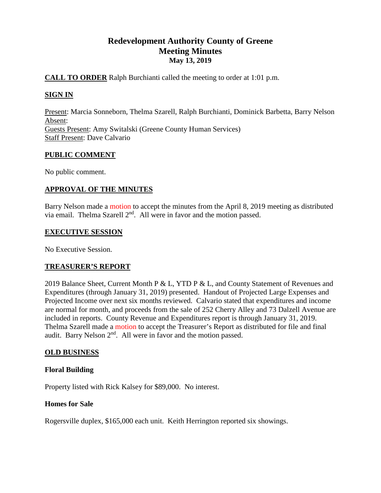# **Redevelopment Authority County of Greene Meeting Minutes May 13, 2019**

# **CALL TO ORDER** Ralph Burchianti called the meeting to order at 1:01 p.m.

# **SIGN IN**

Present: Marcia Sonneborn, Thelma Szarell, Ralph Burchianti, Dominick Barbetta, Barry Nelson Absent: Guests Present: Amy Switalski (Greene County Human Services) Staff Present: Dave Calvario

## **PUBLIC COMMENT**

No public comment.

# **APPROVAL OF THE MINUTES**

Barry Nelson made a motion to accept the minutes from the April 8, 2019 meeting as distributed via email. Thelma Szarell 2<sup>nd</sup>. All were in favor and the motion passed.

## **EXECUTIVE SESSION**

No Executive Session.

## **TREASURER'S REPORT**

2019 Balance Sheet, Current Month P & L, YTD P & L, and County Statement of Revenues and Expenditures (through January 31, 2019) presented. Handout of Projected Large Expenses and Projected Income over next six months reviewed. Calvario stated that expenditures and income are normal for month, and proceeds from the sale of 252 Cherry Alley and 73 Dalzell Avenue are included in reports. County Revenue and Expenditures report is through January 31, 2019. Thelma Szarell made a motion to accept the Treasurer's Report as distributed for file and final audit. Barry Nelson 2nd. All were in favor and the motion passed.

## **OLD BUSINESS**

## **Floral Building**

Property listed with Rick Kalsey for \$89,000. No interest.

## **Homes for Sale**

Rogersville duplex, \$165,000 each unit. Keith Herrington reported six showings.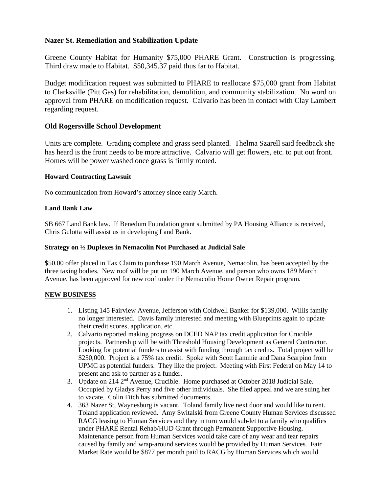## **Nazer St. Remediation and Stabilization Update**

Greene County Habitat for Humanity \$75,000 PHARE Grant. Construction is progressing. Third draw made to Habitat. \$50,345.37 paid thus far to Habitat.

Budget modification request was submitted to PHARE to reallocate \$75,000 grant from Habitat to Clarksville (Pitt Gas) for rehabilitation, demolition, and community stabilization. No word on approval from PHARE on modification request. Calvario has been in contact with Clay Lambert regarding request.

# **Old Rogersville School Development**

Units are complete. Grading complete and grass seed planted. Thelma Szarell said feedback she has heard is the front needs to be more attractive. Calvario will get flowers, etc. to put out front. Homes will be power washed once grass is firmly rooted.

## **Howard Contracting Lawsuit**

No communication from Howard's attorney since early March.

#### **Land Bank Law**

SB 667 Land Bank law. If Benedum Foundation grant submitted by PA Housing Alliance is received, Chris Gulotta will assist us in developing Land Bank.

#### **Strategy on ½ Duplexes in Nemacolin Not Purchased at Judicial Sale**

\$50.00 offer placed in Tax Claim to purchase 190 March Avenue, Nemacolin, has been accepted by the three taxing bodies. New roof will be put on 190 March Avenue, and person who owns 189 March Avenue, has been approved for new roof under the Nemacolin Home Owner Repair program.

## **NEW BUSINESS**

- 1. Listing 145 Fairview Avenue, Jefferson with Coldwell Banker for \$139,000. Willis family no longer interested. Davis family interested and meeting with Blueprints again to update their credit scores, application, etc.
- 2. Calvario reported making progress on DCED NAP tax credit application for Crucible projects. Partnership will be with Threshold Housing Development as General Contractor. Looking for potential funders to assist with funding through tax credits. Total project will be \$250,000. Project is a 75% tax credit. Spoke with Scott Lammie and Dana Scarpino from UPMC as potential funders. They like the project. Meeting with First Federal on May 14 to present and ask to partner as a funder.
- 3. Update on 214 2nd Avenue, Crucible. Home purchased at October 2018 Judicial Sale. Occupied by Gladys Perry and five other individuals. She filed appeal and we are suing her to vacate. Colin Fitch has submitted documents.
- 4. 363 Nazer St, Waynesburg is vacant. Toland family live next door and would like to rent. Toland application reviewed. Amy Switalski from Greene County Human Services discussed RACG leasing to Human Services and they in turn would sub-let to a family who qualifies under PHARE Rental Rehab/HUD Grant through Permanent Supportive Housing. Maintenance person from Human Services would take care of any wear and tear repairs caused by family and wrap-around services would be provided by Human Services. Fair Market Rate would be \$877 per month paid to RACG by Human Services which would